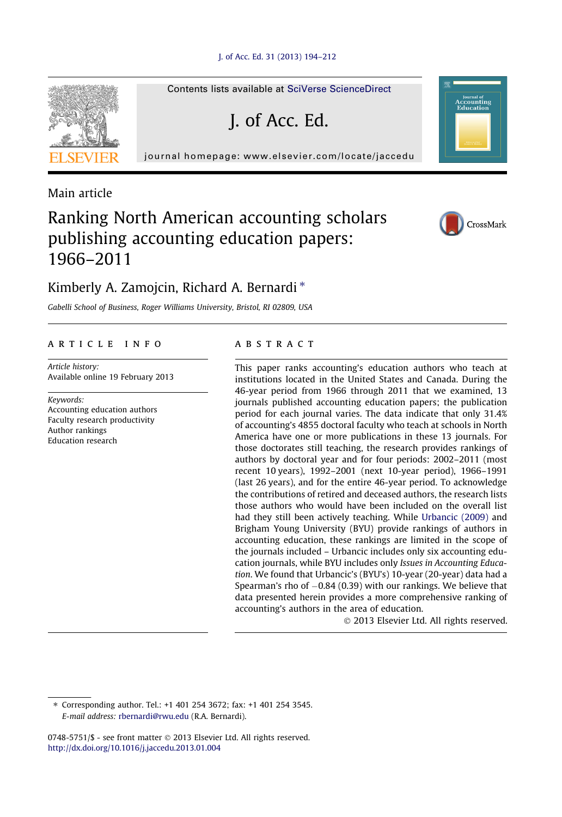#### [J. of Acc. Ed. 31 \(2013\) 194–212](http://dx.doi.org/10.1016/j.jaccedu.2013.01.004)

Contents lists available at [SciVerse ScienceDirect](http://www.sciencedirect.com/science/journal/07485751)

J. of Acc. Ed.

journal homepage: [www.elsevier.com/locate/jaccedu](http://www.elsevier.com/locate/jaccedu)



Main article

## Ranking North American accounting scholars publishing accounting education papers: 1966–2011



**Journal of**<br>CCO<mark>unting</mark><br>Education

### Kimberly A. Zamojcin, Richard A. Bernardi<sup>\*</sup>

Gabelli School of Business, Roger Williams University, Bristol, RI 02809, USA

#### article info

Article history: Available online 19 February 2013

Keywords: Accounting education authors Faculty research productivity Author rankings Education research

#### **ABSTRACT**

This paper ranks accounting's education authors who teach at institutions located in the United States and Canada. During the 46-year period from 1966 through 2011 that we examined, 13 journals published accounting education papers; the publication period for each journal varies. The data indicate that only 31.4% of accounting's 4855 doctoral faculty who teach at schools in North America have one or more publications in these 13 journals. For those doctorates still teaching, the research provides rankings of authors by doctoral year and for four periods: 2002–2011 (most recent 10 years), 1992–2001 (next 10-year period), 1966–1991 (last 26 years), and for the entire 46-year period. To acknowledge the contributions of retired and deceased authors, the research lists those authors who would have been included on the overall list had they still been actively teaching. While [Urbancic \(2009\)](#page--1-0) and Brigham Young University (BYU) provide rankings of authors in accounting education, these rankings are limited in the scope of the journals included – Urbancic includes only six accounting education journals, while BYU includes only Issues in Accounting Education. We found that Urbancic's (BYU's) 10-year (20-year) data had a Spearman's rho of  $-0.84$  (0.39) with our rankings. We believe that data presented herein provides a more comprehensive ranking of accounting's authors in the area of education.

- 2013 Elsevier Ltd. All rights reserved.

⇑ Corresponding author. Tel.: +1 401 254 3672; fax: +1 401 254 3545. E-mail address: [rbernardi@rwu.edu](mailto:rbernardi@rwu.edu) (R.A. Bernardi).

0748-5751/\$ - see front matter © 2013 Elsevier Ltd. All rights reserved. <http://dx.doi.org/10.1016/j.jaccedu.2013.01.004>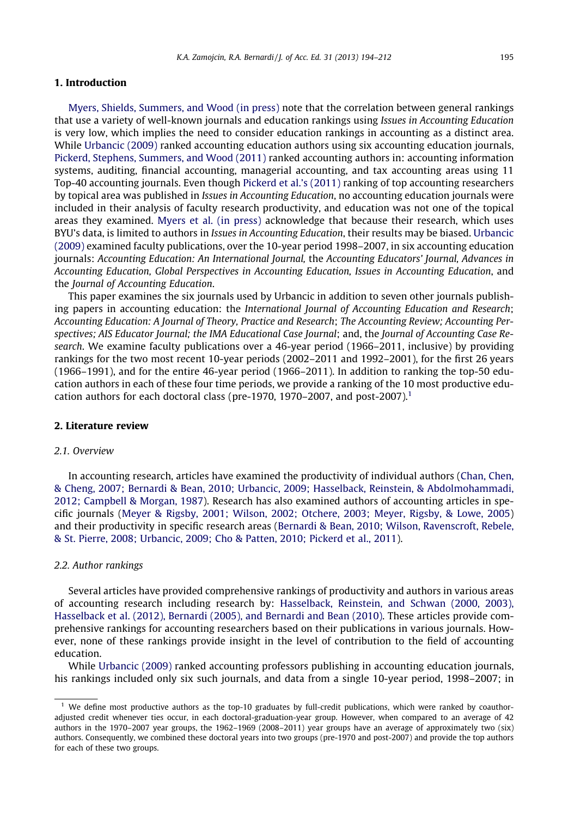#### 1. Introduction

[Myers, Shields, Summers, and Wood \(in press\)](#page--1-0) note that the correlation between general rankings that use a variety of well-known journals and education rankings using Issues in Accounting Education is very low, which implies the need to consider education rankings in accounting as a distinct area. While [Urbancic \(2009\)](#page--1-0) ranked accounting education authors using six accounting education journals, [Pickerd, Stephens, Summers, and Wood \(2011\)](#page--1-0) ranked accounting authors in: accounting information systems, auditing, financial accounting, managerial accounting, and tax accounting areas using 11 Top-40 accounting journals. Even though [Pickerd et al.'s \(2011\)](#page--1-0) ranking of top accounting researchers by topical area was published in Issues in Accounting Education, no accounting education journals were included in their analysis of faculty research productivity, and education was not one of the topical areas they examined. [Myers et al. \(in press\)](#page--1-0) acknowledge that because their research, which uses BYU's data, is limited to authors in *Issues in Accounting Education*, their results may be biased. [Urbancic](#page--1-0) [\(2009\)](#page--1-0) examined faculty publications, over the 10-year period 1998–2007, in six accounting education journals: Accounting Education: An International Journal, the Accounting Educators' Journal, Advances in Accounting Education, Global Perspectives in Accounting Education, Issues in Accounting Education, and the Journal of Accounting Education.

This paper examines the six journals used by Urbancic in addition to seven other journals publishing papers in accounting education: the International Journal of Accounting Education and Research; Accounting Education: A Journal of Theory, Practice and Research; The Accounting Review; Accounting Perspectives; AIS Educator Journal; the IMA Educational Case Journal; and, the Journal of Accounting Case Research. We examine faculty publications over a 46-year period (1966–2011, inclusive) by providing rankings for the two most recent 10-year periods (2002–2011 and 1992–2001), for the first 26 years (1966–1991), and for the entire 46-year period (1966–2011). In addition to ranking the top-50 education authors in each of these four time periods, we provide a ranking of the 10 most productive education authors for each doctoral class (pre-1970, 1970–2007, and post-2007).<sup>1</sup>

#### 2. Literature review

#### 2.1. Overview

In accounting research, articles have examined the productivity of individual authors ([Chan, Chen,](#page--1-0) [& Cheng, 2007; Bernardi & Bean, 2010; Urbancic, 2009; Hasselback, Reinstein, & Abdolmohammadi,](#page--1-0) [2012; Campbell & Morgan, 1987](#page--1-0)). Research has also examined authors of accounting articles in specific journals ([Meyer & Rigsby, 2001; Wilson, 2002; Otchere, 2003; Meyer, Rigsby, & Lowe, 2005\)](#page--1-0) and their productivity in specific research areas ([Bernardi & Bean, 2010; Wilson, Ravenscroft, Rebele,](#page--1-0) [& St. Pierre, 2008; Urbancic, 2009; Cho & Patten, 2010; Pickerd et al., 2011\)](#page--1-0).

#### 2.2. Author rankings

Several articles have provided comprehensive rankings of productivity and authors in various areas of accounting research including research by: [Hasselback, Reinstein, and Schwan \(2000, 2003\),](#page--1-0) [Hasselback et al. \(2012\), Bernardi \(2005\), and Bernardi and Bean \(2010\).](#page--1-0) These articles provide comprehensive rankings for accounting researchers based on their publications in various journals. However, none of these rankings provide insight in the level of contribution to the field of accounting education.

While [Urbancic \(2009\)](#page--1-0) ranked accounting professors publishing in accounting education journals, his rankings included only six such journals, and data from a single 10-year period, 1998–2007; in

<sup>&</sup>lt;sup>1</sup> We define most productive authors as the top-10 graduates by full-credit publications, which were ranked by coauthoradjusted credit whenever ties occur, in each doctoral-graduation-year group. However, when compared to an average of 42 authors in the 1970–2007 year groups, the 1962–1969 (2008–2011) year groups have an average of approximately two (six) authors. Consequently, we combined these doctoral years into two groups (pre-1970 and post-2007) and provide the top authors for each of these two groups.